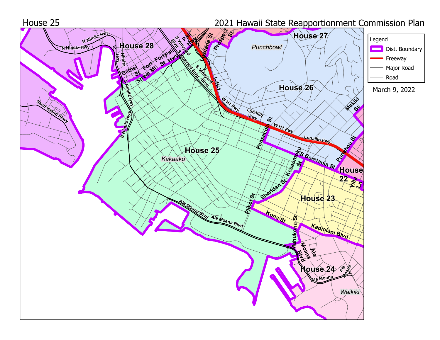